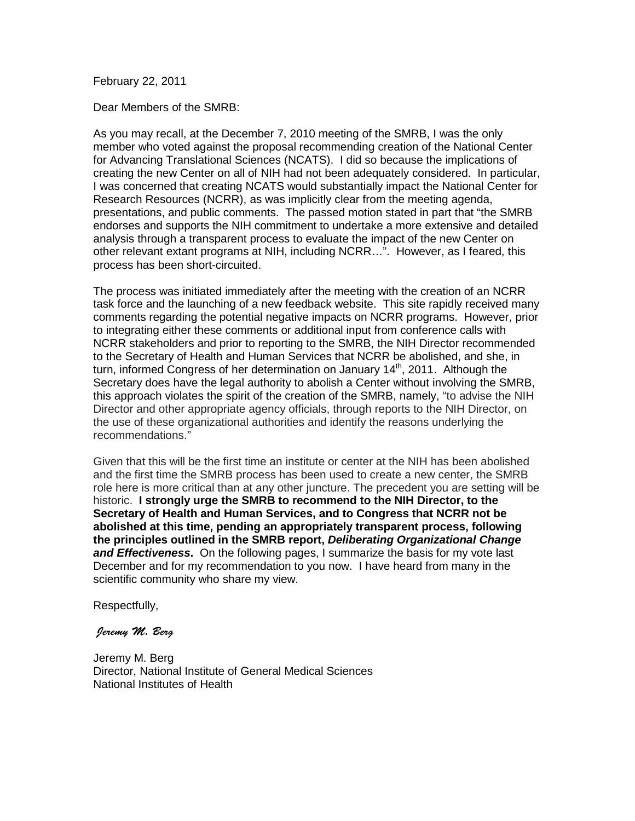### February 22, 2011

Dear Members of the SMRB:

As you may recall, at the December 7, 2010 meeting of the SMRB, I was the only member who voted against the proposal recommending creation of the National Center for Advancing Translational Sciences (NCATS). I did so because the implications of creating the new Center on all of NIH had not been adequately considered. In particular, I was concerned that creating NCATS would substantially impact the National Center for Research Resources (NCRR), as was implicitly clear from the meeting agenda, presentations, and public comments. The passed motion stated in part that "the SMRB endorses and supports the NIH commitment to undertake a more extensive and detailed analysis through a transparent process to evaluate the impact of the new Center on other relevant extant programs at NIH, including NCRR…". However, as I feared, this process has been short-circuited.

The process was initiated immediately after the meeting with the creation of an NCRR task force and the launching of a new feedback website. This site rapidly received many comments regarding the potential negative impacts on NCRR programs. However, prior to integrating either these comments or additional input from conference calls with NCRR stakeholders and prior to reporting to the SMRB, the NIH Director recommended to the Secretary of Health and Human Services that NCRR be abolished, and she, in turn, informed Congress of her determination on January 14<sup>th</sup>, 2011. Although the Secretary does have the legal authority to abolish a Center without involving the SMRB, this approach violates the spirit of the creation of the SMRB, namely, "to advise the NIH Director and other appropriate agency officials, through reports to the NIH Director, on the use of these organizational authorities and identify the reasons underlying the recommendations."

Given that this will be the first time an institute or center at the NIH has been abolished and the first time the SMRB process has been used to create a new center, the SMRB role here is more critical than at any other juncture. The precedent you are setting will be historic. **I strongly urge the SMRB to recommend to the NIH Director, to the Secretary of Health and Human Services, and to Congress that NCRR not be abolished at this time, pending an appropriately transparent process, following the principles outlined in the SMRB report,** *Deliberating Organizational Change and Effectiveness***.** On the following pages, I summarize the basis for my vote last December and for my recommendation to you now. I have heard from many in the scientific community who share my view.

Respectfully,

#### *Jeremy M. Berg*

Jeremy M. Berg Director, National Institute of General Medical Sciences National Institutes of Health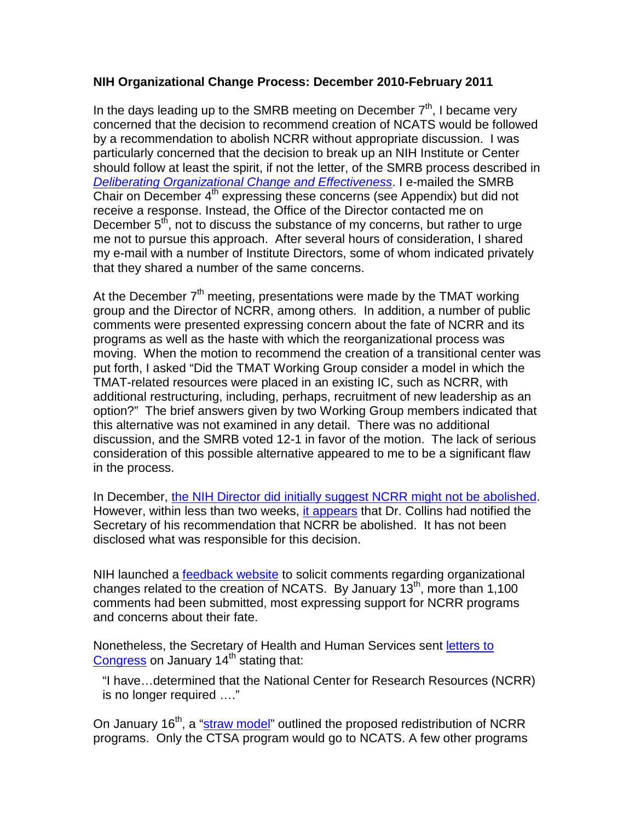# **NIH Organizational Change Process: December 2010-February 2011**

In the days leading up to the SMRB meeting on December  $7<sup>th</sup>$ , I became very concerned that the decision to recommend creation of NCATS would be followed by a recommendation to abolish NCRR without appropriate discussion. I was particularly concerned that the decision to break up an NIH Institute or Center should follow at least the spirit, if not the letter, of the SMRB process described in *[Deliberating Organizational Change and Effectiveness](http://smrb.od.nih.gov/announcements/DOCE-Report-Final-Nov15.pdf)*. I e-mailed the SMRB Chair on December 4<sup>th</sup> expressing these concerns (see Appendix) but did not receive a response. Instead, the Office of the Director contacted me on December  $5<sup>th</sup>$ , not to discuss the substance of my concerns, but rather to urge me not to pursue this approach. After several hours of consideration, I shared my e-mail with a number of Institute Directors, some of whom indicated privately that they shared a number of the same concerns.

At the December  $7<sup>th</sup>$  meeting, presentations were made by the TMAT working group and the Director of NCRR, among others. In addition, a number of public comments were presented expressing concern about the fate of NCRR and its programs as well as the haste with which the reorganizational process was moving. When the motion to recommend the creation of a transitional center was put forth, I asked "Did the TMAT Working Group consider a model in which the TMAT-related resources were placed in an existing IC, such as NCRR, with additional restructuring, including, perhaps, recruitment of new leadership as an option?" The brief answers given by two Working Group members indicated that this alternative was not examined in any detail. There was no additional discussion, and the SMRB voted 12-1 in favor of the motion. The lack of serious consideration of this possible alternative appeared to me to be a significant flaw in the process.

In December, [the NIH Director did initially suggest NCRR might not be abolished.](http://www.nature.com/news/2010/081210/full/news.2010.650.html) However, within less than two weeks, [it appears](http://news.sciencemag.org/scienceinsider/2011/01/nihs-collins-explains-why-ncrr.html) that Dr. Collins had notified the Secretary of his recommendation that NCRR be abolished. It has not been disclosed what was responsible for this decision.

NIH launched a [feedback website](http://feedback.nih.gov/index.php/category/ncats/) to solicit comments regarding organizational changes related to the creation of NCATS. By January 13<sup>th</sup>, more than 1,100 comments had been submitted, most expressing support for NCRR programs and concerns about their fate.

Nonetheless, the Secretary of Health and Human Services sent [letters to](http://www.nih.gov/icd/od/foia/readingrooms/NotificationLtrsFinalAuthorizors.pdf)  [Congress](http://www.nih.gov/icd/od/foia/readingrooms/NotificationLtrsFinalAuthorizors.pdf) on January  $14<sup>th</sup>$  stating that:

"I have…determined that the National Center for Research Resources (NCRR) is no longer required …."

On January 16<sup>th</sup>, a ["straw model"](http://feedback.nih.gov/index.php/ncats/straw-model/) outlined the proposed redistribution of NCRR programs. Only the CTSA program would go to NCATS. A few other programs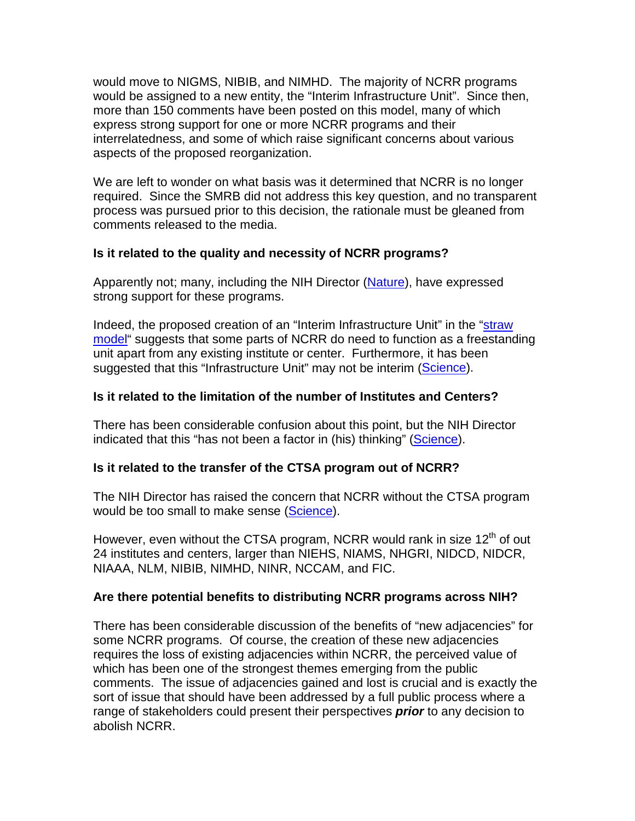would move to NIGMS, NIBIB, and NIMHD. The majority of NCRR programs would be assigned to a new entity, the "Interim Infrastructure Unit". Since then, more than 150 comments have been posted on this model, many of which express strong support for one or more NCRR programs and their interrelatedness, and some of which raise significant concerns about various aspects of the proposed reorganization.

We are left to wonder on what basis was it determined that NCRR is no longer required. Since the SMRB did not address this key question, and no transparent process was pursued prior to this decision, the rationale must be gleaned from comments released to the media.

# **Is it related to the quality and necessity of NCRR programs?**

Apparently not; many, including the NIH Director [\(Nature\)](http://blogs.nature.com/news/thegreatbeyond/2011/01/collins_defends_decision_to_di.html), have expressed strong support for these programs.

Indeed, the proposed creation of an "Interim Infrastructure Unit" in the ["straw](http://feedback.nih.gov/index.php/ncats/straw-model/)  [model"](http://feedback.nih.gov/index.php/ncats/straw-model/) suggests that some parts of NCRR do need to function as a freestanding unit apart from any existing institute or center. Furthermore, it has been suggested that this "Infrastructure Unit" may not be interim [\(Science\)](http://news.sciencemag.org/scienceinsider/2011/01/nihs-collins-explains-why-ncrr.html).

# **Is it related to the limitation of the number of Institutes and Centers?**

There has been considerable confusion about this point, but the NIH Director indicated that this "has not been a factor in (his) thinking" [\(Science\)](http://news.sciencemag.org/scienceinsider/2011/01/nihs-collins-explains-why-ncrr.html).

# **Is it related to the transfer of the CTSA program out of NCRR?**

The NIH Director has raised the concern that NCRR without the CTSA program would be too small to make sense [\(Science\)](http://news.sciencemag.org/scienceinsider/2011/01/nihs-collins-explains-why-ncrr.html).

However, even without the CTSA program, NCRR would rank in size  $12<sup>th</sup>$  of out 24 institutes and centers, larger than NIEHS, NIAMS, NHGRI, NIDCD, NIDCR, NIAAA, NLM, NIBIB, NIMHD, NINR, NCCAM, and FIC.

# **Are there potential benefits to distributing NCRR programs across NIH?**

There has been considerable discussion of the benefits of "new adjacencies" for some NCRR programs. Of course, the creation of these new adjacencies requires the loss of existing adjacencies within NCRR, the perceived value of which has been one of the strongest themes emerging from the public comments. The issue of adjacencies gained and lost is crucial and is exactly the sort of issue that should have been addressed by a full public process where a range of stakeholders could present their perspectives *prior* to any decision to abolish NCRR.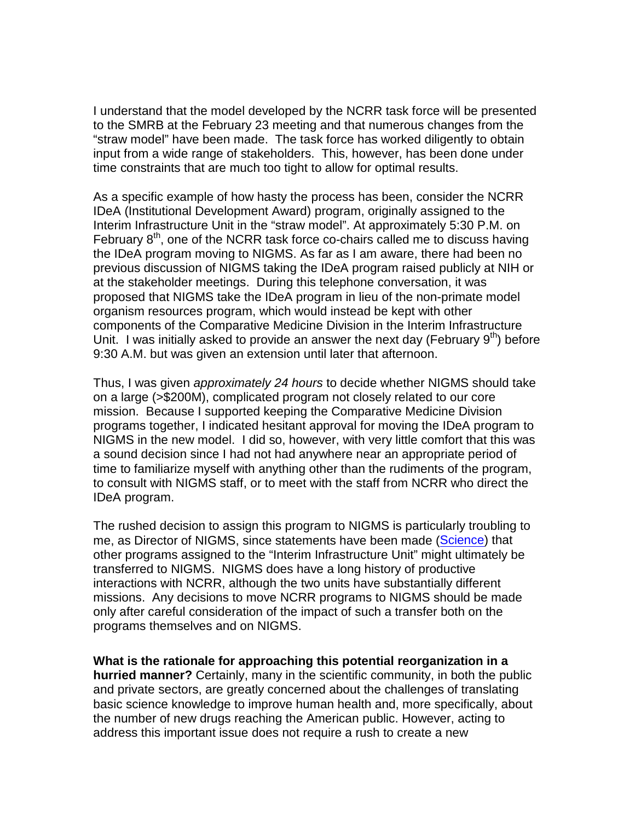I understand that the model developed by the NCRR task force will be presented to the SMRB at the February 23 meeting and that numerous changes from the "straw model" have been made. The task force has worked diligently to obtain input from a wide range of stakeholders. This, however, has been done under time constraints that are much too tight to allow for optimal results.

As a specific example of how hasty the process has been, consider the NCRR IDeA (Institutional Development Award) program, originally assigned to the Interim Infrastructure Unit in the "straw model". At approximately 5:30 P.M. on February  $8<sup>th</sup>$ , one of the NCRR task force co-chairs called me to discuss having the IDeA program moving to NIGMS. As far as I am aware, there had been no previous discussion of NIGMS taking the IDeA program raised publicly at NIH or at the stakeholder meetings. During this telephone conversation, it was proposed that NIGMS take the IDeA program in lieu of the non-primate model organism resources program, which would instead be kept with other components of the Comparative Medicine Division in the Interim Infrastructure Unit. I was initially asked to provide an answer the next day (February  $9<sup>th</sup>$ ) before 9:30 A.M. but was given an extension until later that afternoon.

Thus, I was given *approximately 24 hours* to decide whether NIGMS should take on a large (>\$200M), complicated program not closely related to our core mission. Because I supported keeping the Comparative Medicine Division programs together, I indicated hesitant approval for moving the IDeA program to NIGMS in the new model. I did so, however, with very little comfort that this was a sound decision since I had not had anywhere near an appropriate period of time to familiarize myself with anything other than the rudiments of the program, to consult with NIGMS staff, or to meet with the staff from NCRR who direct the IDeA program.

The rushed decision to assign this program to NIGMS is particularly troubling to me, as Director of NIGMS, since statements have been made [\(Science\)](http://news.sciencemag.org/scienceinsider/2011/01/nihs-collins-explains-why-ncrr.html) that other programs assigned to the "Interim Infrastructure Unit" might ultimately be transferred to NIGMS. NIGMS does have a long history of productive interactions with NCRR, although the two units have substantially different missions. Any decisions to move NCRR programs to NIGMS should be made only after careful consideration of the impact of such a transfer both on the programs themselves and on NIGMS.

**What is the rationale for approaching this potential reorganization in a hurried manner?** Certainly, many in the scientific community, in both the public and private sectors, are greatly concerned about the challenges of translating basic science knowledge to improve human health and, more specifically, about the number of new drugs reaching the American public. However, acting to address this important issue does not require a rush to create a new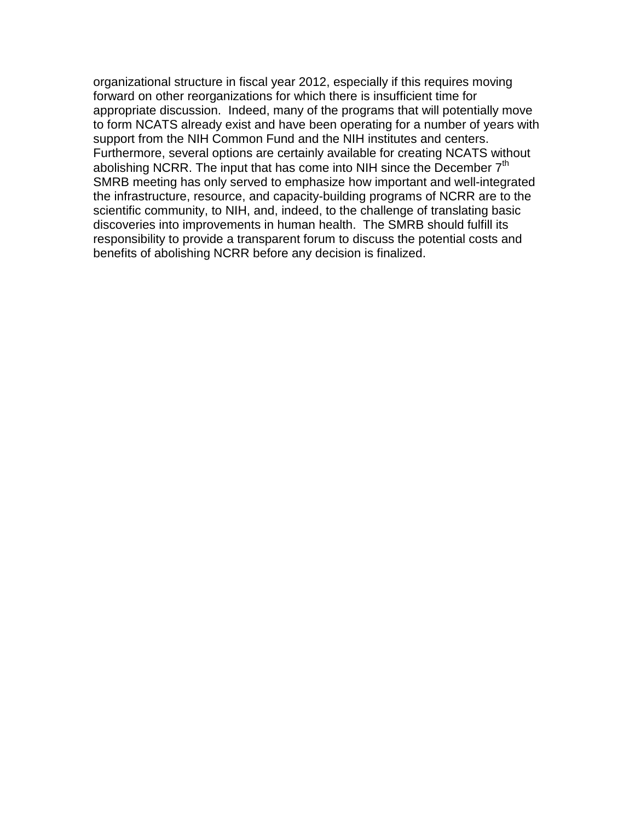organizational structure in fiscal year 2012, especially if this requires moving forward on other reorganizations for which there is insufficient time for appropriate discussion. Indeed, many of the programs that will potentially move to form NCATS already exist and have been operating for a number of years with support from the NIH Common Fund and the NIH institutes and centers. Furthermore, several options are certainly available for creating NCATS without abolishing NCRR. The input that has come into NIH since the December  $7<sup>th</sup>$ SMRB meeting has only served to emphasize how important and well-integrated the infrastructure, resource, and capacity-building programs of NCRR are to the scientific community, to NIH, and, indeed, to the challenge of translating basic discoveries into improvements in human health. The SMRB should fulfill its responsibility to provide a transparent forum to discuss the potential costs and benefits of abolishing NCRR before any decision is finalized.